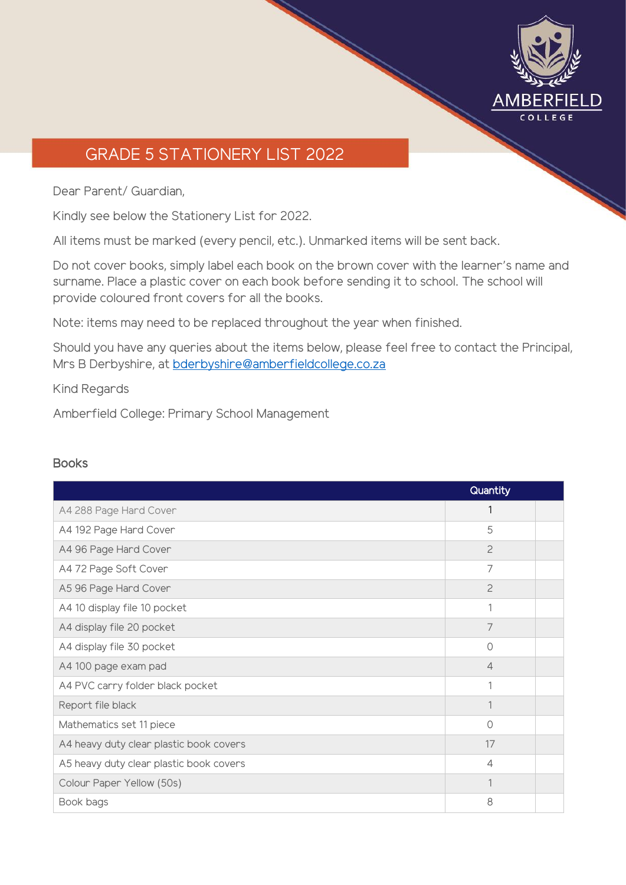

## GRADE 5 STATIONERY LIST 2022

Dear Parent/ Guardian,

Kindly see below the Stationery List for 2022.

All items must be marked (every pencil, etc.). Unmarked items will be sent back.

Do not cover books, simply label each book on the brown cover with the learner's name and surname. Place a plastic cover on each book before sending it to school. The school will provide coloured front covers for all the books.

Note: items may need to be replaced throughout the year when finished.

Should you have any queries about the items below, please feel free to contact the Principal, Mrs B Derbyshire, at [bderbyshire@amberfieldcollege.co.za](mailto:bderbyshire@amberfieldcollege.co.za)

Kind Regards

Amberfield College: Primary School Management

## Books

|                                         | Quantity       |  |
|-----------------------------------------|----------------|--|
| A4 288 Page Hard Cover                  | 1              |  |
| A4 192 Page Hard Cover                  | 5              |  |
| A4 96 Page Hard Cover                   | $\overline{c}$ |  |
| A4 72 Page Soft Cover                   | 7              |  |
| A5 96 Page Hard Cover                   | $\overline{c}$ |  |
| A4 10 display file 10 pocket            | 1              |  |
| A4 display file 20 pocket               | 7              |  |
| A4 display file 30 pocket               | $\Omega$       |  |
| A4 100 page exam pad                    | $\overline{4}$ |  |
| A4 PVC carry folder black pocket        | 1              |  |
| Report file black                       | 1              |  |
| Mathematics set 11 piece                | $\Omega$       |  |
| A4 heavy duty clear plastic book covers | 17             |  |
| A5 heavy duty clear plastic book covers | $\overline{4}$ |  |
| Colour Paper Yellow (50s)               | 1              |  |
| Book bags                               | 8              |  |